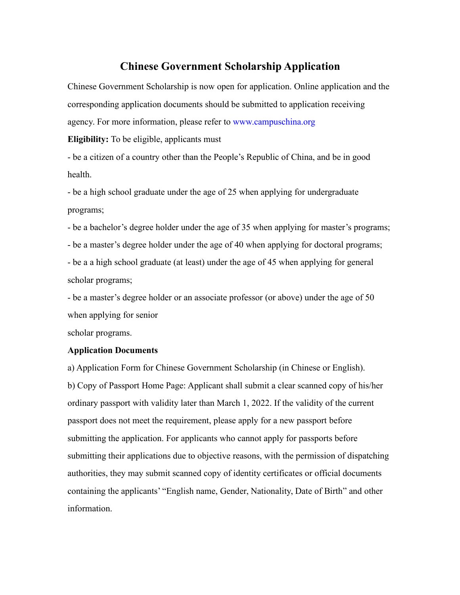## **Chinese Government Scholarship Application**

Chinese Government Scholarship is now open for application. Online application and the corresponding application documents should be submitted to application receiving agency. For more information, please refer to www.campuschina.org

**Eligibility:** To be eligible, applicants must

- be a citizen of a country other than the People's Republic of China, and be in good health.

- be a high school graduate under the age of 25 when applying for undergraduate programs;

- be a bachelor's degree holder under the age of 35 when applying for master's programs;

- be a master's degree holder under the age of 40 when applying for doctoral programs;

- be a a high school graduate (at least) under the age of 45 when applying for general scholar programs;

- be a master's degree holder or an associate professor (or above) under the age of 50 when applying for senior

scholar programs.

## **Application Documents**

a) Application Form for Chinese Government Scholarship (in Chinese or English). b) Copy of Passport Home Page: Applicant shall submit a clear scanned copy of his/her ordinary passport with validity later than March 1, 2022. If the validity of the current passport does not meet the requirement, please apply for a new passport before submitting the application. For applicants who cannot apply for passports before submitting their applications due to objective reasons, with the permission of dispatching authorities, they may submit scanned copy of identity certificates orofficial documents containing the applicants' "English name, Gender, Nationality, Date of Birth" and other information.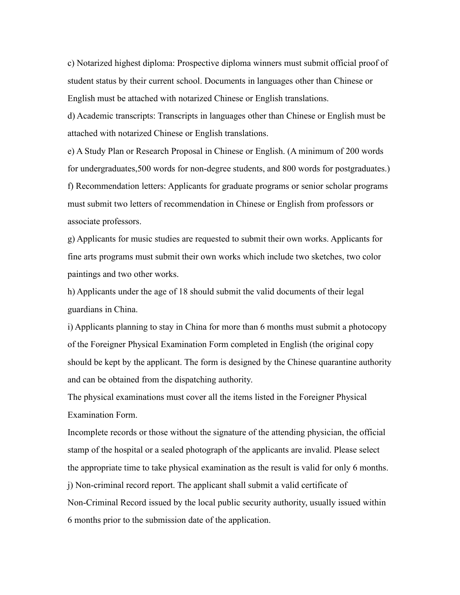c) Notarized highest diploma: Prospective diploma winners must submit official proof of student status by their current school. Documents in languages other than Chinese or English must be attached with notarized Chinese or English translations.

d) Academic transcripts: Transcripts in languages other than Chinese or English must be attached with notarized Chinese or English translations.

e) A Study Plan or Research Proposal in Chinese or English. (A minimum of 200 words for undergraduates,500 words for non-degree students, and 800 words for postgraduates.) f) Recommendation letters: Applicants for graduate programs orsenior scholar programs must submit two letters of recommendation in Chinese or English from professors or associate professors.

g) Applicants for music studies are requested to submit their own works. Applicants for fine arts programs must submit their own works which include two sketches, two color paintings and two other works.

h) Applicants under the age of 18 should submit the valid documents of their legal guardians in China.

i) Applicants planning to stay in China for more than 6 months mustsubmit a photocopy of the Foreigner Physical Examination Form completed in English (the original copy should be kept by the applicant. The form is designed by the Chinese quarantine authority and can be obtained from the dispatching authority.

The physical examinations must cover all the items listed in the Foreigner Physical Examination Form.

Incomplete records or those without the signature of the attending physician, the official stamp of the hospital or a sealed photograph of the applicants are invalid. Please select the appropriate time to take physical examination as the result is valid for only 6 months. j) Non-criminal record report. The applicant shall submit a valid certificate of Non-Criminal Record issued by the local public security authority, usually issued within 6 months prior to the submission date of the application.